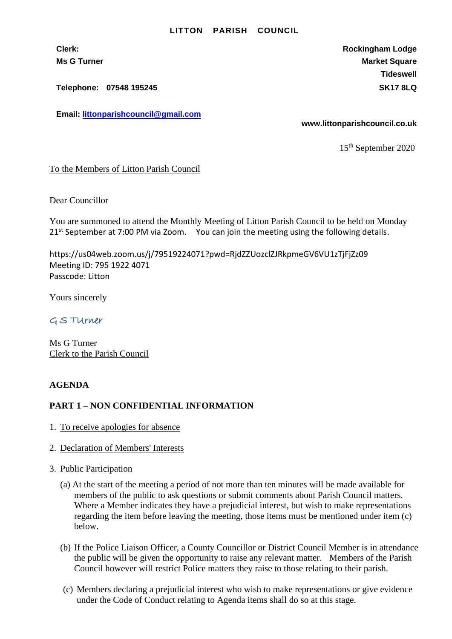#### **LITTON PARISH COUNCIL**

**Clerk: Rockingham Lodge Ms G Turner Market Square** Market Square Market Square Market Square **Tideswell**

**Telephone: 07548 195245 SK17 8LQ**

**Email: [littonparishcouncil@gmail.com](mailto:littonparishcouncil@gmail.com)**

**www.littonparishcouncil.co.uk**

15 th September 2020

## To the Members of Litton Parish Council

Dear Councillor

You are summoned to attend the Monthly Meeting of Litton Parish Council to be held on Monday 21<sup>st</sup> September at 7:00 PM via Zoom. You can join the meeting using the following details.

https://us04web.zoom.us/j/79519224071?pwd=RjdZZUozclZJRkpmeGV6VU1zTjFjZz09 Meeting ID: 795 1922 4071 Passcode: Litton

Yours sincerely

G S TUrner

Ms G Turner Clerk to the Parish Council

### **AGENDA**

# **PART 1 – NON CONFIDENTIAL INFORMATION**

- 1. To receive apologies for absence
- 2. Declaration of Members' Interests
- 3. Public Participation
	- (a) At the start of the meeting a period of not more than ten minutes will be made available for members of the public to ask questions or submit comments about Parish Council matters. Where a Member indicates they have a prejudicial interest, but wish to make representations regarding the item before leaving the meeting, those items must be mentioned under item (c) below.
	- (b) If the Police Liaison Officer, a County Councillor or District Council Member is in attendance the public will be given the opportunity to raise any relevant matter. Members of the Parish Council however will restrict Police matters they raise to those relating to their parish.
	- (c) Members declaring a prejudicial interest who wish to make representations or give evidence under the Code of Conduct relating to Agenda items shall do so at this stage.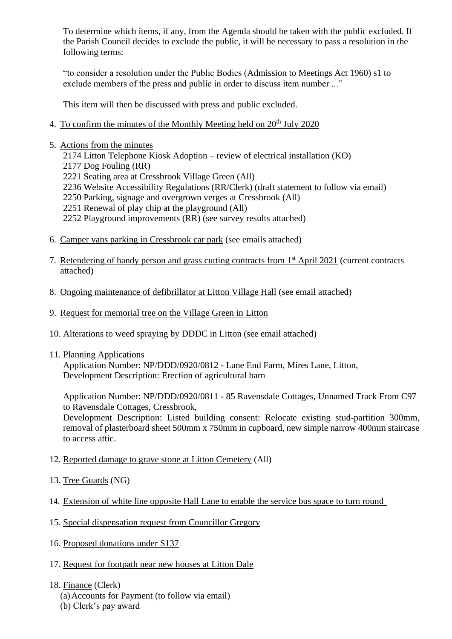To determine which items, if any, from the Agenda should be taken with the public excluded. If the Parish Council decides to exclude the public, it will be necessary to pass a resolution in the following terms:

"to consider a resolution under the Public Bodies (Admission to Meetings Act 1960) s1 to exclude members of the press and public in order to discuss item number ..."

This item will then be discussed with press and public excluded.

- 4. To confirm the minutes of the Monthly Meeting held on  $20<sup>th</sup>$  July 2020
- 5. Actions from the minutes
	- 2174 Litton Telephone Kiosk Adoption review of electrical installation (KO)
	- 2177 Dog Fouling (RR)
	- 2221 Seating area at Cressbrook Village Green (All)
	- 2236 Website Accessibility Regulations (RR/Clerk) (draft statement to follow via email)
	- 2250 Parking, signage and overgrown verges at Cressbrook (All)
	- 2251 Renewal of play chip at the playground (All)
	- 2252 Playground improvements (RR) (see survey results attached)
- 6. Camper vans parking in Cressbrook car park (see emails attached)
- 7. Retendering of handy person and grass cutting contracts from 1st April 2021 (current contracts attached)
- 8. Ongoing maintenance of defibrillator at Litton Village Hall (see email attached)
- 9. Request for memorial tree on the Village Green in Litton
- 10. Alterations to weed spraying by DDDC in Litton (see email attached)
- 11. Planning Applications

Application Number: NP/DDD/0920/0812 **-** Lane End Farm, Mires Lane, Litton, Development Description: Erection of agricultural barn

Application Number: NP/DDD/0920/0811 **-** 85 Ravensdale Cottages, Unnamed Track From C97 to Ravensdale Cottages, Cressbrook,

Development Description: Listed building consent: Relocate existing stud-partition 300mm, removal of plasterboard sheet 500mm x 750mm in cupboard, new simple narrow 400mm staircase to access attic.

- 12. Reported damage to grave stone at Litton Cemetery (All)
- 13. Tree Guards (NG)
- 14. Extension of white line opposite Hall Lane to enable the service bus space to turn round
- 15. Special dispensation request from Councillor Gregory
- 16. Proposed donations under S137
- 17. Request for footpath near new houses at Litton Dale
- 18. Finance (Clerk)
	- (a)Accounts for Payment (to follow via email)
	- (b) Clerk's pay award